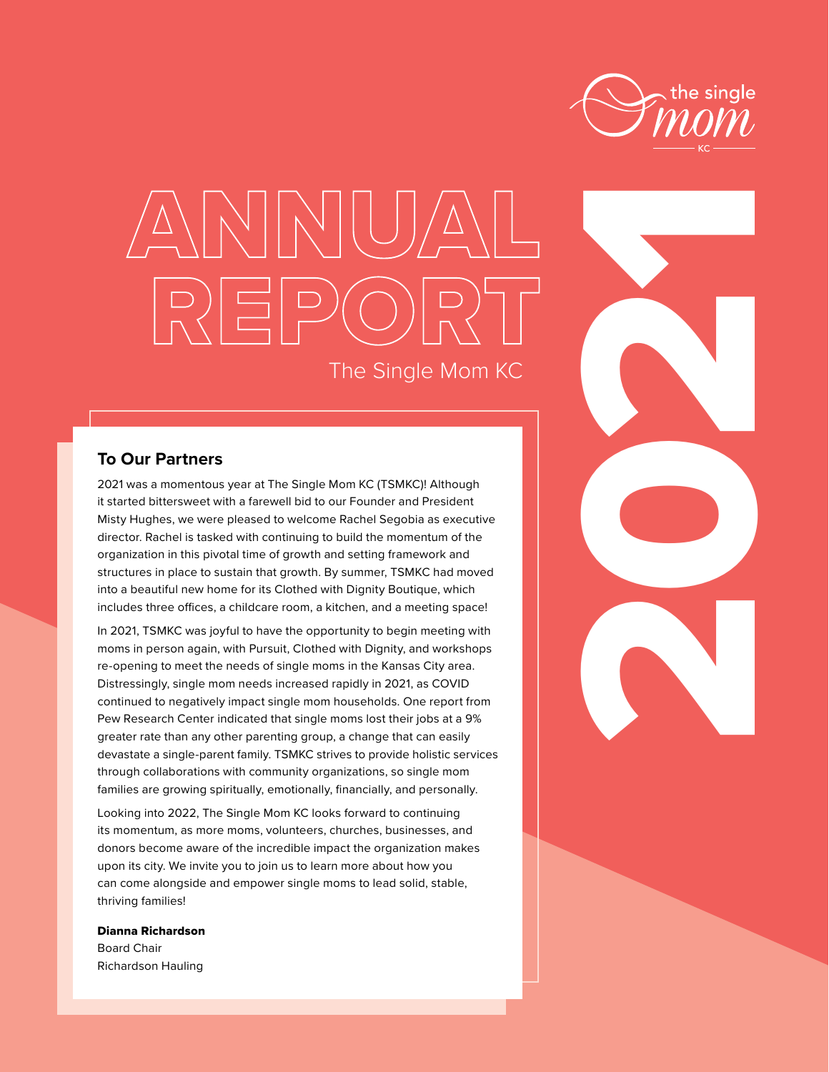

2021

# ANNUAL REPORT The Single Mom KC

### **To Our Partners**

2021 was a momentous year at The Single Mom KC (TSMKC)! Although it started bittersweet with a farewell bid to our Founder and President Misty Hughes, we were pleased to welcome Rachel Segobia as executive director. Rachel is tasked with continuing to build the momentum of the organization in this pivotal time of growth and setting framework and structures in place to sustain that growth. By summer, TSMKC had moved into a beautiful new home for its Clothed with Dignity Boutique, which includes three offices, a childcare room, a kitchen, and a meeting space!

In 2021, TSMKC was joyful to have the opportunity to begin meeting with moms in person again, with Pursuit, Clothed with Dignity, and workshops re-opening to meet the needs of single moms in the Kansas City area. Distressingly, single mom needs increased rapidly in 2021, as COVID continued to negatively impact single mom households. One report from Pew Research Center indicated that single moms lost their jobs at a 9% greater rate than any other parenting group, a change that can easily devastate a single-parent family. TSMKC strives to provide holistic services through collaborations with community organizations, so single mom families are growing spiritually, emotionally, financially, and personally.

Looking into 2022, The Single Mom KC looks forward to continuing its momentum, as more moms, volunteers, churches, businesses, and donors become aware of the incredible impact the organization makes upon its city. We invite you to join us to learn more about how you can come alongside and empower single moms to lead solid, stable, thriving families!

#### Dianna Richardson

Board Chair Richardson Hauling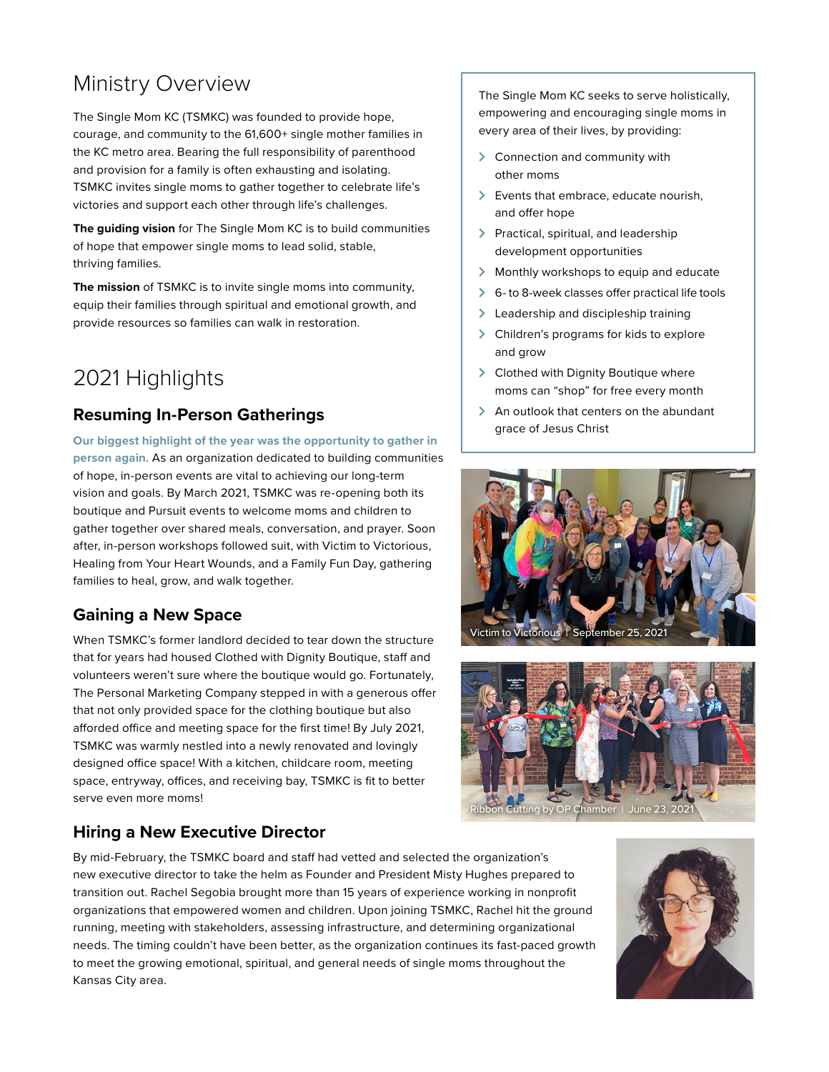# Ministry Overview

The Single Mom KC (TSMKC) was founded to provide hope, courage, and community to the 61,600+ single mother families in the KC metro area. Bearing the full responsibility of parenthood and provision for a family is often exhausting and isolating. TSMKC invites single moms to gather together to celebrate life's victories and support each other through life's challenges.

**The guiding vision** for The Single Mom KC is to build communities of hope that empower single moms to lead solid, stable, thriving families.

**The mission** of TSMKC is to invite single moms into community, equip their families through spiritual and emotional growth, and provide resources so families can walk in restoration.

# 2021 Highlights

### **Resuming In-Person Gatherings**

**Our biggest highlight of the year was the opportunity to gather in person again.** As an organization dedicated to building communities of hope, in-person events are vital to achieving our long-term vision and goals. By March 2021, TSMKC was re-opening both its boutique and Pursuit events to welcome moms and children to gather together over shared meals, conversation, and prayer. Soon after, in-person workshops followed suit, with Victim to Victorious, Healing from Your Heart Wounds, and a Family Fun Day, gathering families to heal, grow, and walk together.

### **Gaining a New Space**

When TSMKC's former landlord decided to tear down the structure that for years had housed Clothed with Dignity Boutique, staff and volunteers weren't sure where the boutique would go. Fortunately, The Personal Marketing Company stepped in with a generous offer that not only provided space for the clothing boutique but also afforded office and meeting space for the first time! By July 2021, TSMKC was warmly nestled into a newly renovated and lovingly designed office space! With a kitchen, childcare room, meeting space, entryway, offices, and receiving bay, TSMKC is fit to better serve even more moms!

## **Hiring a New Executive Director**

By mid-February, the TSMKC board and staff had vetted and selected the organization's new executive director to take the helm as Founder and President Misty Hughes prepared to transition out. Rachel Segobia brought more than 15 years of experience working in nonprofit organizations that empowered women and children. Upon joining TSMKC, Rachel hit the ground running, meeting with stakeholders, assessing infrastructure, and determining organizational needs. The timing couldn't have been better, as the organization continues its fast-paced growth to meet the growing emotional, spiritual, and general needs of single moms throughout the Kansas City area.

The Single Mom KC seeks to serve holistically, empowering and encouraging single moms in every area of their lives, by providing:

- $\geq$  Connection and community with other moms
- $\triangleright$  Events that embrace, educate nourish, and offer hope
- > Practical, spiritual, and leadership development opportunities
- $\triangleright$  Monthly workshops to equip and educate
- $\geqslant$  6- to 8-week classes offer practical life tools
- > Leadership and discipleship training
- > Children's programs for kids to explore and grow
- > Clothed with Dignity Boutique where moms can "shop" for free every month
- $\triangleright$  An outlook that centers on the abundant grace of Jesus Christ





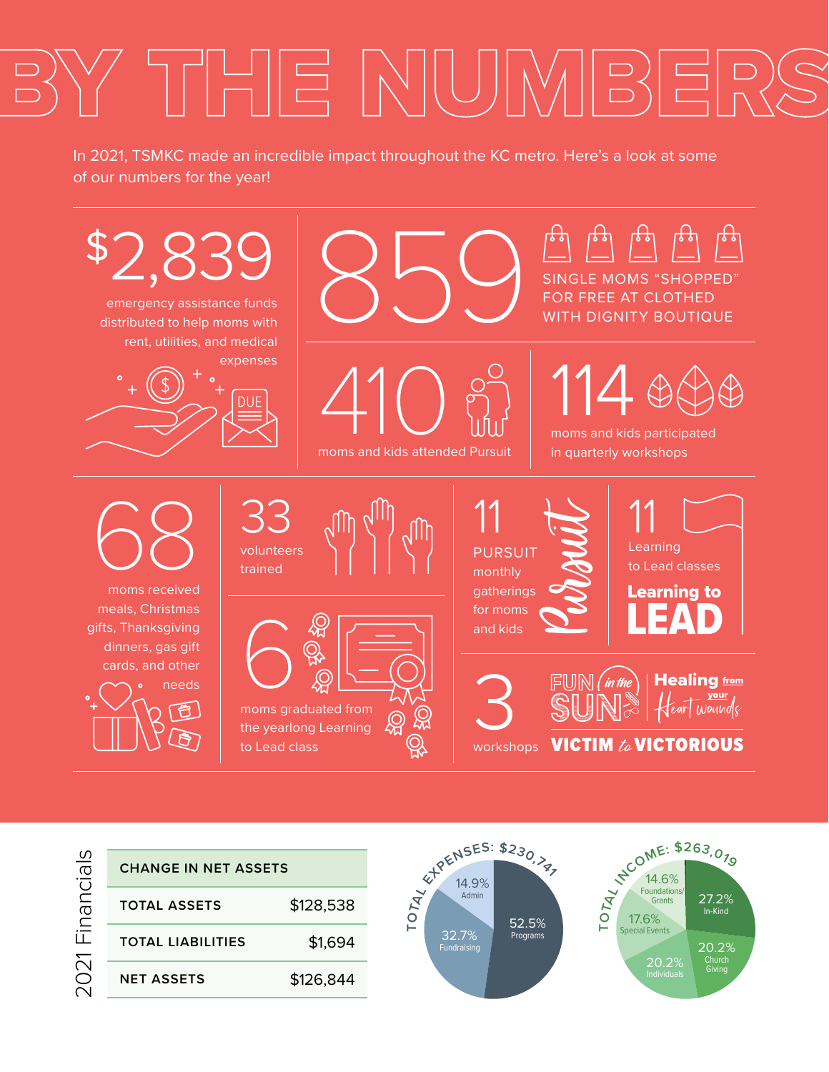# BY THE NUMBERS

In 2021, TSMKC made an incredible impact throughout the KC metro. Here's a look at some of our numbers for the year!



2021 Financials 2021 Financials

| CHANGE IN NET ASSETS |           |
|----------------------|-----------|
| TOTAL ASSETS         | \$128,538 |
| TOTAL LIARILITIES    | \$1,694   |
| NFT ASSFTS           | \$126,844 |